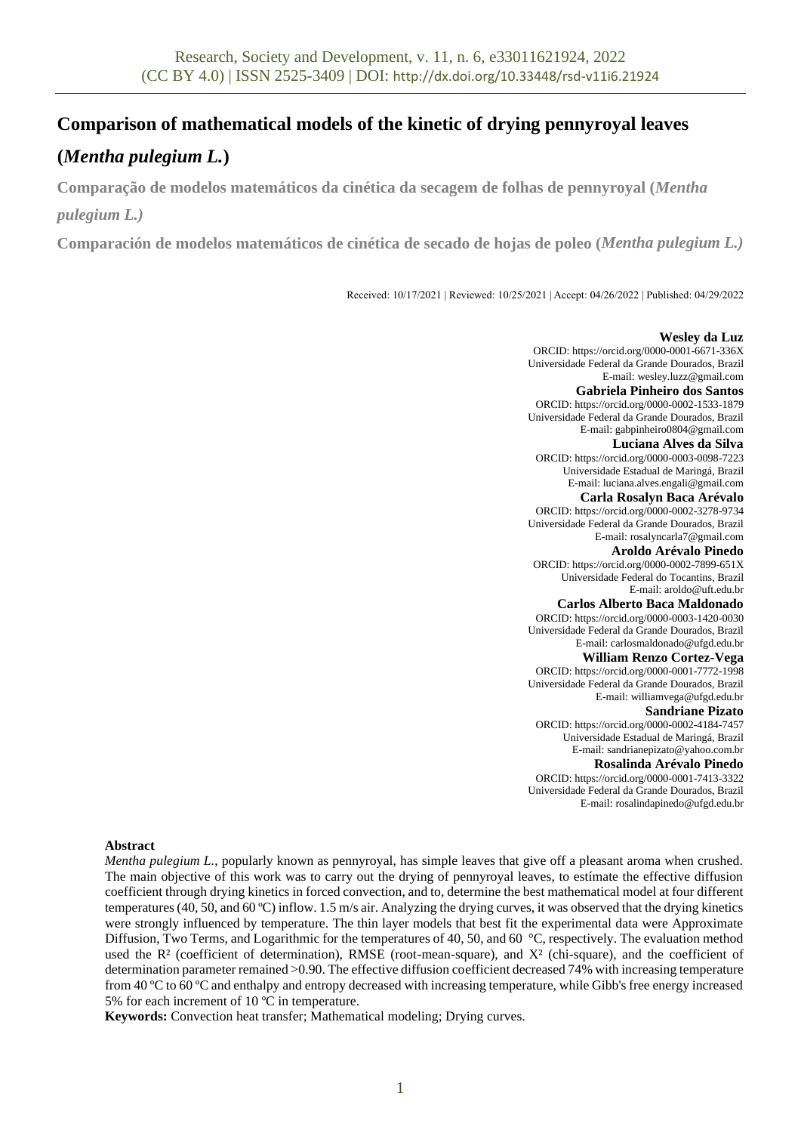# **Comparison of mathematical models of the kinetic of drying pennyroyal leaves**

# **(***Mentha pulegium L.***)**

**Comparação de modelos matemáticos da cinética da secagem de folhas de pennyroyal (***Mentha* 

# *pulegium L.)*

**Comparación de modelos matemáticos de cinética de secado de hojas de poleo (***Mentha pulegium L.)*

Received: 10/17/2021 | Reviewed: 10/25/2021 | Accept: 04/26/2022 | Published: 04/29/2022

## **Wesley da Luz**

ORCID: https://orcid.org/0000-0001-6671-336X Universidade Federal da Grande Dourados, Brazil E-mail: [wesley.luzz@gmail.com](mailto:wesley.luzz@gmail.com)

### **Gabriela Pinheiro dos Santos**

ORCID: https://orcid.org/0000-0002-1533-1879 Universidade Federal da Grande Dourados, Brazil E-mail: gabpinheiro0804@gmail.com

#### **Luciana Alves da Silva**

ORCID: https://orcid.org/0000-0003-0098-7223 Universidade Estadual de Maringá, Brazil E-mail: luciana.alves.engali@gmail.com

## **Carla Rosalyn Baca Arévalo**

ORCID: https://orcid.org/0000-0002-3278-9734 Universidade Federal da Grande Dourados, Brazil E-mail: rosalyncarla7@gmail.com

**Aroldo Arévalo Pinedo**

ORCID: https://orcid.org/0000-0002-7899-651X Universidade Federal do Tocantins, Brazil E-mail: aroldo@uft.edu.br

## **Carlos Alberto Baca Maldonado**

ORCID: https://orcid.org/0000-0003-1420-0030 Universidade Federal da Grande Dourados, Brazil E-mail: carlosmaldonado@ufgd.edu.br

## **William Renzo Cortez-Vega**

ORCID: https://orcid.org/0000-0001-7772-1998 Universidade Federal da Grande Dourados, Brazil E-mail: williamvega@ufgd.edu.br

### **Sandriane Pizato**

ORCID: https://orcid.org/0000-0002-4184-7457 Universidade Estadual de Maringá, Brazil E-mail: sandrianepizato@yahoo.com.br

### **Rosalinda Arévalo Pinedo**

ORCID: https://orcid.org/0000-0001-7413-3322 Universidade Federal da Grande Dourados, Brazil E-mail: rosalindapinedo@ufgd.edu.br

## **Abstract**

*Mentha pulegium L.*, popularly known as pennyroyal, has simple leaves that give off a pleasant aroma when crushed. The main objective of this work was to carry out the drying of pennyroyal leaves, to estímate the effective diffusion coefficient through drying kinetics in forced convection, and to, determine the best mathematical model at four different temperatures (40, 50, and 60 °C) inflow. 1.5 m/s air. Analyzing the drying curves, it was observed that the drying kinetics were strongly influenced by temperature. The thin layer models that best fit the experimental data were Approximate Diffusion, Two Terms, and Logarithmic for the temperatures of 40, 50, and 60 °C, respectively. The evaluation method used the  $\mathbb{R}^2$  (coefficient of determination), RMSE (root-mean-square), and  $X^2$  (chi-square), and the coefficient of determination parameter remained >0.90. The effective diffusion coefficient decreased 74% with increasing temperature from 40 ºC to 60 ºC and enthalpy and entropy decreased with increasing temperature, while Gibb's free energy increased 5% for each increment of 10 ºC in temperature.

**Keywords:** Convection heat transfer; Mathematical modeling; Drying curves.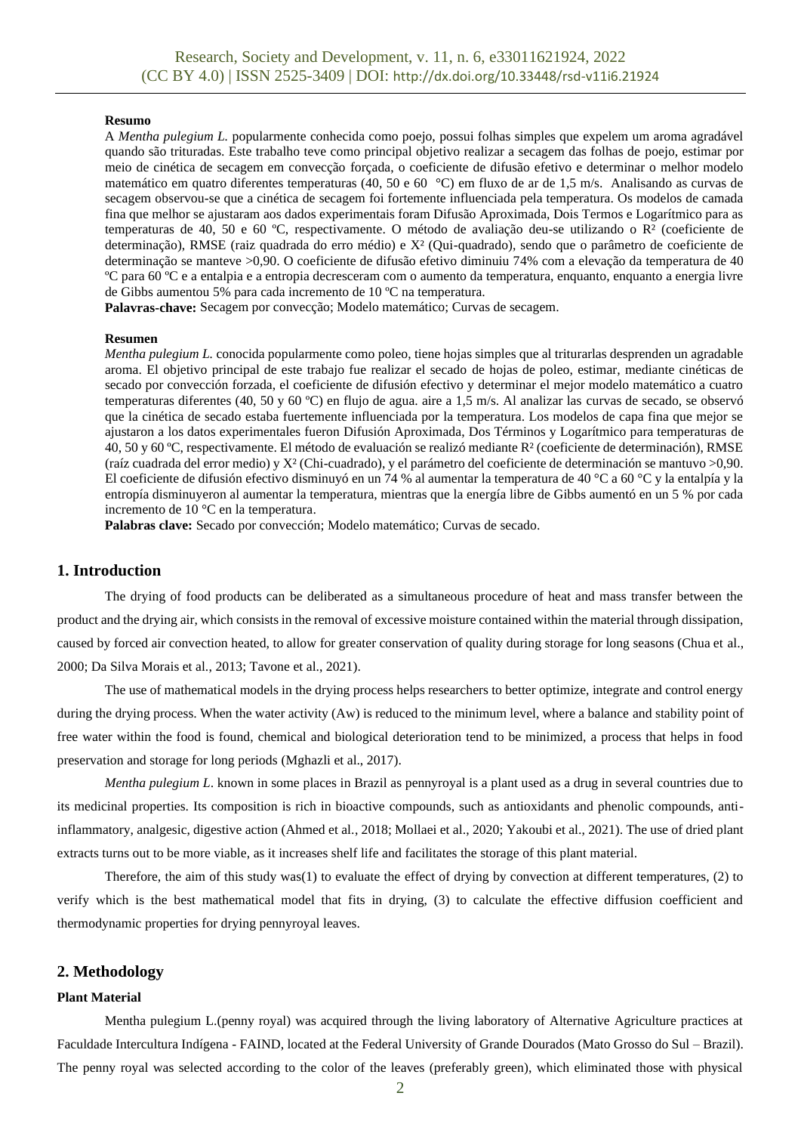### **Resumo**

A *Mentha pulegium L.* popularmente conhecida como poejo, possui folhas simples que expelem um aroma agradável quando são trituradas. Este trabalho teve como principal objetivo realizar a secagem das folhas de poejo, estimar por meio de cinética de secagem em convecção forçada, o coeficiente de difusão efetivo e determinar o melhor modelo matemático em quatro diferentes temperaturas (40, 50 e 60 °C) em fluxo de ar de 1,5 m/s. Analisando as curvas de secagem observou-se que a cinética de secagem foi fortemente influenciada pela temperatura. Os modelos de camada fina que melhor se ajustaram aos dados experimentais foram Difusão Aproximada, Dois Termos e Logarítmico para as temperaturas de 40, 50 e 60 ºC, respectivamente. O método de avaliação deu-se utilizando o R² (coeficiente de determinação), RMSE (raiz quadrada do erro médio) e X² (Qui-quadrado), sendo que o parâmetro de coeficiente de determinação se manteve >0,90. O coeficiente de difusão efetivo diminuiu 74% com a elevação da temperatura de 40 ºC para 60 ºC e a entalpia e a entropia decresceram com o aumento da temperatura, enquanto, enquanto a energia livre de Gibbs aumentou 5% para cada incremento de 10 ºC na temperatura.

**Palavras-chave:** Secagem por convecção; Modelo matemático; Curvas de secagem.

#### **Resumen**

*Mentha pulegium L.* conocida popularmente como poleo, tiene hojas simples que al triturarlas desprenden un agradable aroma. El objetivo principal de este trabajo fue realizar el secado de hojas de poleo, estimar, mediante cinéticas de secado por convección forzada, el coeficiente de difusión efectivo y determinar el mejor modelo matemático a cuatro temperaturas diferentes (40, 50 y 60 ºC) en flujo de agua. aire a 1,5 m/s. Al analizar las curvas de secado, se observó que la cinética de secado estaba fuertemente influenciada por la temperatura. Los modelos de capa fina que mejor se ajustaron a los datos experimentales fueron Difusión Aproximada, Dos Términos y Logarítmico para temperaturas de 40, 50 y 60 ºC, respectivamente. El método de evaluación se realizó mediante R² (coeficiente de determinación), RMSE (raíz cuadrada del error medio) y X² (Chi-cuadrado), y el parámetro del coeficiente de determinación se mantuvo >0,90. El coeficiente de difusión efectivo disminuyó en un 74 % al aumentar la temperatura de 40 °C a 60 °C y la entalpía y la entropía disminuyeron al aumentar la temperatura, mientras que la energía libre de Gibbs aumentó en un 5 % por cada incremento de 10 °C en la temperatura.

**Palabras clave:** Secado por convección; Modelo matemático; Curvas de secado.

## **1. Introduction**

The drying of food products can be deliberated as a simultaneous procedure of heat and mass transfer between the product and the drying air, which consists in the removal of excessive moisture contained within the material through dissipation, caused by forced air convection heated, to allow for greater conservation of quality during storage for long seasons (Chua et al., 2000; Da Silva Morais et al., 2013; Tavone et al., 2021).

The use of mathematical models in the drying process helps researchers to better optimize, integrate and control energy during the drying process. When the water activity (Aw) is reduced to the minimum level, where a balance and stability point of free water within the food is found, chemical and biological deterioration tend to be minimized, a process that helps in food preservation and storage for long periods (Mghazli et al., 2017).

*Mentha pulegium L.* known in some places in Brazil as pennyroyal is a plant used as a drug in several countries due to its medicinal properties. Its composition is rich in bioactive compounds, such as antioxidants and phenolic compounds, antiinflammatory, analgesic, digestive action (Ahmed et al., 2018; Mollaei et al., 2020; Yakoubi et al., 2021). The use of dried plant extracts turns out to be more viable, as it increases shelf life and facilitates the storage of this plant material.

Therefore, the aim of this study was(1) to evaluate the effect of drying by convection at different temperatures, (2) to verify which is the best mathematical model that fits in drying, (3) to calculate the effective diffusion coefficient and thermodynamic properties for drying pennyroyal leaves.

### **2. Methodology**

## **Plant Material**

Mentha pulegium L.(penny royal) was acquired through the living laboratory of Alternative Agriculture practices at Faculdade Intercultura Indígena - FAIND, located at the Federal University of Grande Dourados (Mato Grosso do Sul – Brazil). The penny royal was selected according to the color of the leaves (preferably green), which eliminated those with physical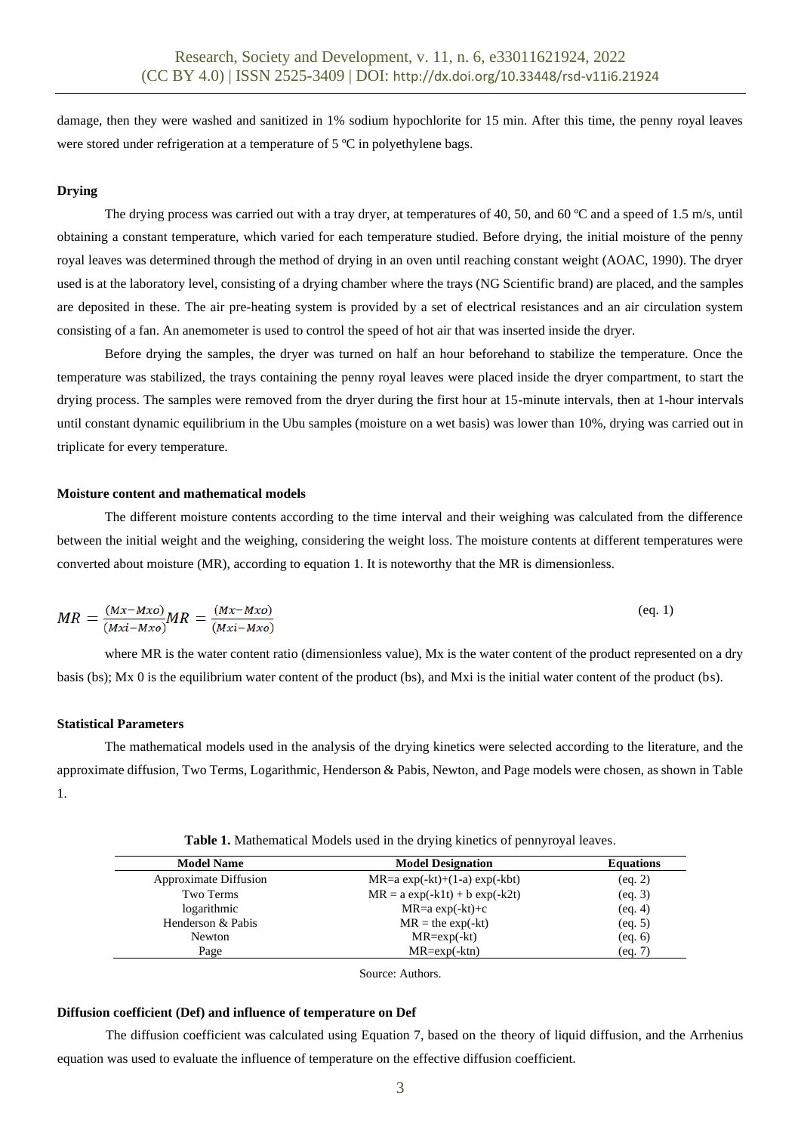damage, then they were washed and sanitized in 1% sodium hypochlorite for 15 min. After this time, the penny royal leaves were stored under refrigeration at a temperature of 5 °C in polyethylene bags.

## **Drying**

The drying process was carried out with a tray dryer, at temperatures of 40, 50, and 60 °C and a speed of 1.5 m/s, until obtaining a constant temperature, which varied for each temperature studied. Before drying, the initial moisture of the penny royal leaves was determined through the method of drying in an oven until reaching constant weight (AOAC, 1990). The dryer used is at the laboratory level, consisting of a drying chamber where the trays (NG Scientific brand) are placed, and the samples are deposited in these. The air pre-heating system is provided by a set of electrical resistances and an air circulation system consisting of a fan. An anemometer is used to control the speed of hot air that was inserted inside the dryer.

Before drying the samples, the dryer was turned on half an hour beforehand to stabilize the temperature. Once the temperature was stabilized, the trays containing the penny royal leaves were placed inside the dryer compartment, to start the drying process. The samples were removed from the dryer during the first hour at 15-minute intervals, then at 1-hour intervals until constant dynamic equilibrium in the Ubu samples (moisture on a wet basis) was lower than 10%, drying was carried out in triplicate for every temperature.

## **Moisture content and mathematical models**

The different moisture contents according to the time interval and their weighing was calculated from the difference between the initial weight and the weighing, considering the weight loss. The moisture contents at different temperatures were converted about moisture (MR), according to equation 1. It is noteworthy that the MR is dimensionless.

$$
MR = \frac{(Mx - Mxo)}{(Mxi - Mxo)}MR = \frac{(Mx - Mxo)}{(Mxi - Mxo)}\tag{eq.1}
$$

where MR is the water content ratio (dimensionless value), Mx is the water content of the product represented on a dry basis (bs); Mx 0 is the equilibrium water content of the product (bs), and Mxi is the initial water content of the product (bs).

#### **Statistical Parameters**

The mathematical models used in the analysis of the drying kinetics were selected according to the literature, and the approximate diffusion, Two Terms, Logarithmic, Henderson & Pabis, Newton, and Page models were chosen, as shown in Table 1.

| <b>Model Name</b>            | <b>Model Designation</b>           |         |
|------------------------------|------------------------------------|---------|
| <b>Approximate Diffusion</b> | $MR=a \exp(-kt)+(1-a) \exp(-kbt)$  | (eq. 2) |
| Two Terms                    | $MR = a \exp(-k1t) + b \exp(-k2t)$ | (eq. 3) |
| logarithmic                  | $MR=a \exp(-kt)+c$                 | (eq. 4) |
| Henderson & Pabis            | $MR =$ the exp(-kt)                | (eq. 5) |
| Newton                       | $MR = exp(-kt)$                    | (eq. 6) |
| Page                         | $MR = exp(-ktn)$                   | (eq. 7) |
|                              |                                    |         |

**Table 1.** Mathematical Models used in the drying kinetics of pennyroyal leaves.

Source: Authors.

## **Diffusion coefficient (Def) and influence of temperature on Def**

The diffusion coefficient was calculated using Equation 7, based on the theory of liquid diffusion, and the Arrhenius equation was used to evaluate the influence of temperature on the effective diffusion coefficient.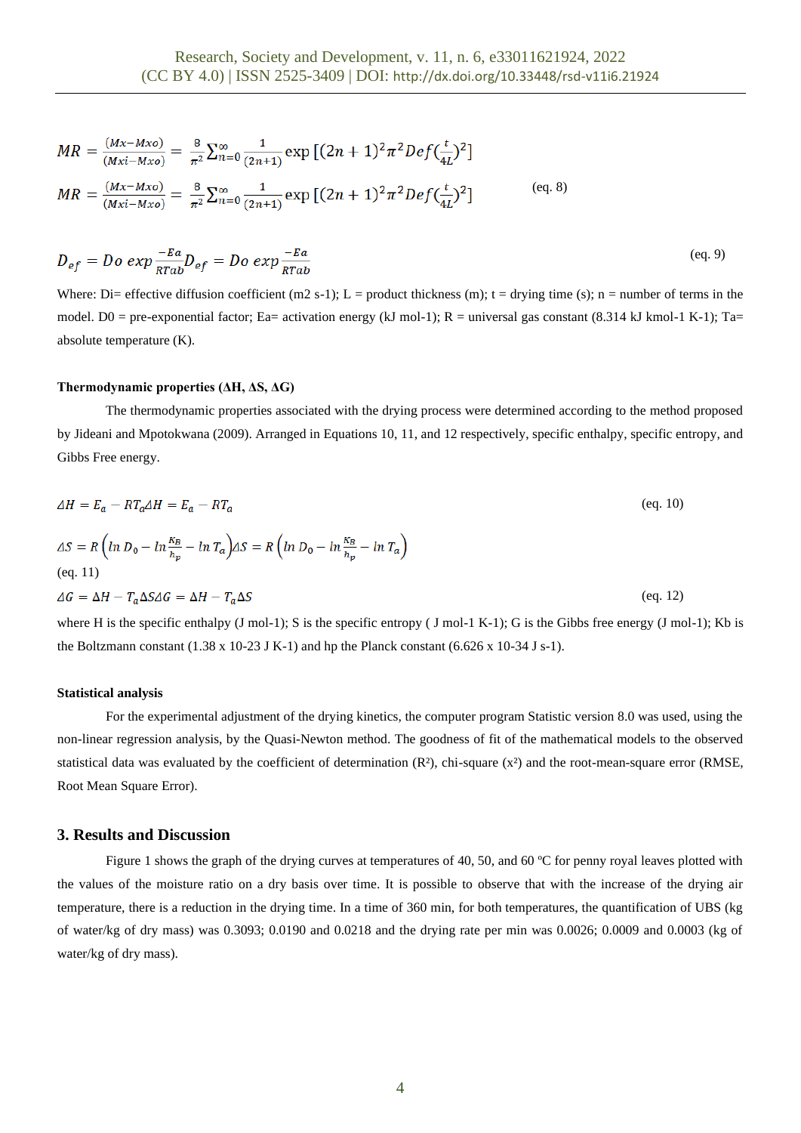$$
MR = \frac{(Mx - Mxo)}{(Mxi - Mxo)} = \frac{8}{\pi^2} \sum_{n=0}^{\infty} \frac{1}{(2n+1)} \exp\left[ (2n+1)^2 \pi^2 Def(\frac{t}{4L})^2 \right]
$$
  

$$
MR = \frac{(Mx - Mxo)}{(Mxi - Mxo)} = \frac{8}{\pi^2} \sum_{n=0}^{\infty} \frac{1}{(2n+1)} \exp\left[ (2n+1)^2 \pi^2 Def(\frac{t}{4L})^2 \right]
$$
 (eq. 8)

$$
D_{ef} = Do \exp \frac{-Ea}{RTab} D_{ef} = Do \exp \frac{-Ea}{RTab} \tag{eq.9}
$$

Where: Di= effective diffusion coefficient  $(m2 s-1)$ ; L = product thickness  $(m)$ ; t = drying time (s); n = number of terms in the model. D0 = pre-exponential factor; Ea= activation energy (kJ mol-1); R = universal gas constant (8.314 kJ kmol-1 K-1); Ta= absolute temperature (K).

#### **Thermodynamic properties (ΔH, ΔS, ΔG)**

The thermodynamic properties associated with the drying process were determined according to the method proposed by Jideani and Mpotokwana (2009). Arranged in Equations 10, 11, and 12 respectively, specific enthalpy, specific entropy, and Gibbs Free energy.

$$
\Delta H = E_a - RT_a \Delta H = E_a - RT_a \qquad (eq. 10)
$$
  
\n
$$
\Delta S = R \left( \ln D_0 - \ln \frac{\kappa_B}{h_p} - \ln T_a \right) \Delta S = R \left( \ln D_0 - \ln \frac{\kappa_B}{h_p} - \ln T_a \right)
$$
  
\n
$$
\Delta G = \Delta H - T_a \Delta S \Delta G = \Delta H - T_a \Delta S \qquad (eq. 12)
$$

where H is the specific enthalpy (J mol-1); S is the specific entropy (J mol-1 K-1); G is the Gibbs free energy (J mol-1); Kb is the Boltzmann constant (1.38 x 10-23 J K-1) and hp the Planck constant (6.626 x 10-34 J s-1).

#### **Statistical analysis**

For the experimental adjustment of the drying kinetics, the computer program Statistic version 8.0 was used, using the non-linear regression analysis, by the Quasi-Newton method. The goodness of fit of the mathematical models to the observed statistical data was evaluated by the coefficient of determination  $(R^2)$ , chi-square  $(x^2)$  and the root-mean-square error (RMSE, Root Mean Square Error).

## **3. Results and Discussion**

Figure 1 shows the graph of the drying curves at temperatures of 40, 50, and 60 °C for penny royal leaves plotted with the values of the moisture ratio on a dry basis over time. It is possible to observe that with the increase of the drying air temperature, there is a reduction in the drying time. In a time of 360 min, for both temperatures, the quantification of UBS (kg of water/kg of dry mass) was 0.3093; 0.0190 and 0.0218 and the drying rate per min was 0.0026; 0.0009 and 0.0003 (kg of water/kg of dry mass).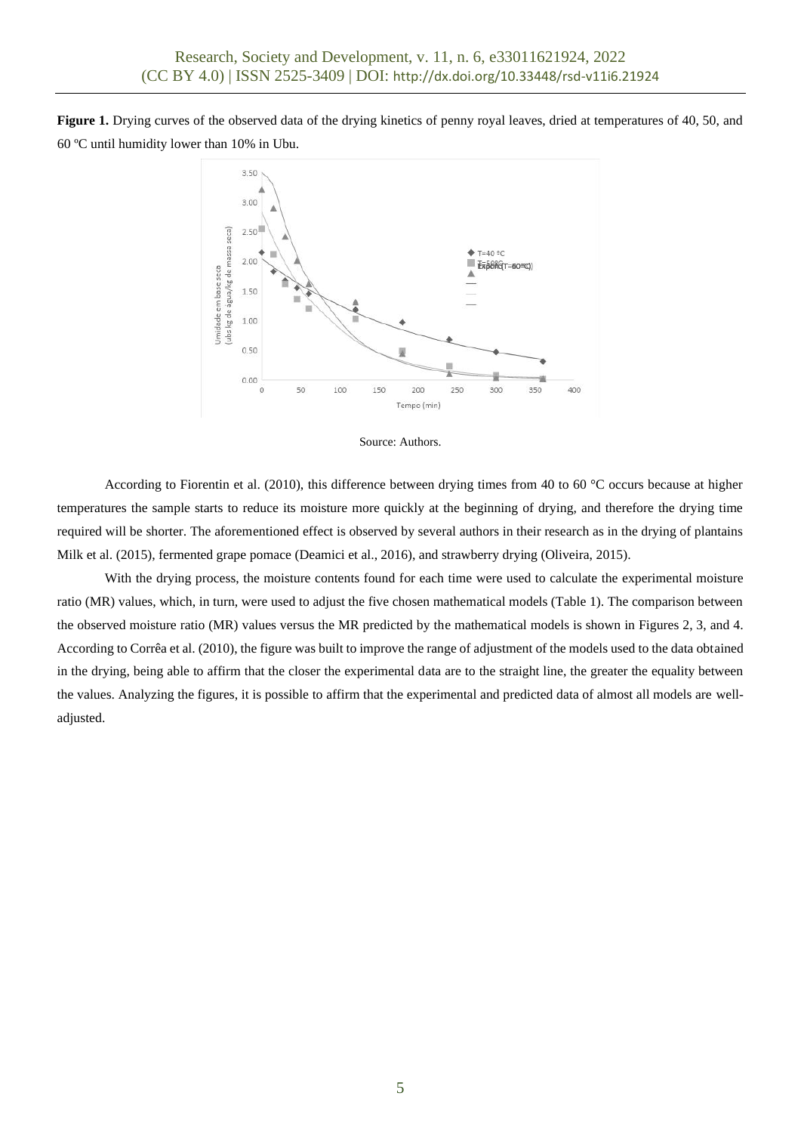**Figure 1.** Drying curves of the observed data of the drying kinetics of penny royal leaves, dried at temperatures of 40, 50, and 60 ºC until humidity lower than 10% in Ubu.





According to Fiorentin et al. (2010), this difference between drying times from 40 to 60 °C occurs because at higher temperatures the sample starts to reduce its moisture more quickly at the beginning of drying, and therefore the drying time required will be shorter. The aforementioned effect is observed by several authors in their research as in the drying of plantains Milk et al. (2015), fermented grape pomace (Deamici et al., 2016), and strawberry drying (Oliveira, 2015).

With the drying process, the moisture contents found for each time were used to calculate the experimental moisture ratio (MR) values, which, in turn, were used to adjust the five chosen mathematical models (Table 1). The comparison between the observed moisture ratio (MR) values versus the MR predicted by the mathematical models is shown in Figures 2, 3, and 4. According to Corrêa et al. (2010), the figure was built to improve the range of adjustment of the models used to the data obtained in the drying, being able to affirm that the closer the experimental data are to the straight line, the greater the equality between the values. Analyzing the figures, it is possible to affirm that the experimental and predicted data of almost all models are welladjusted.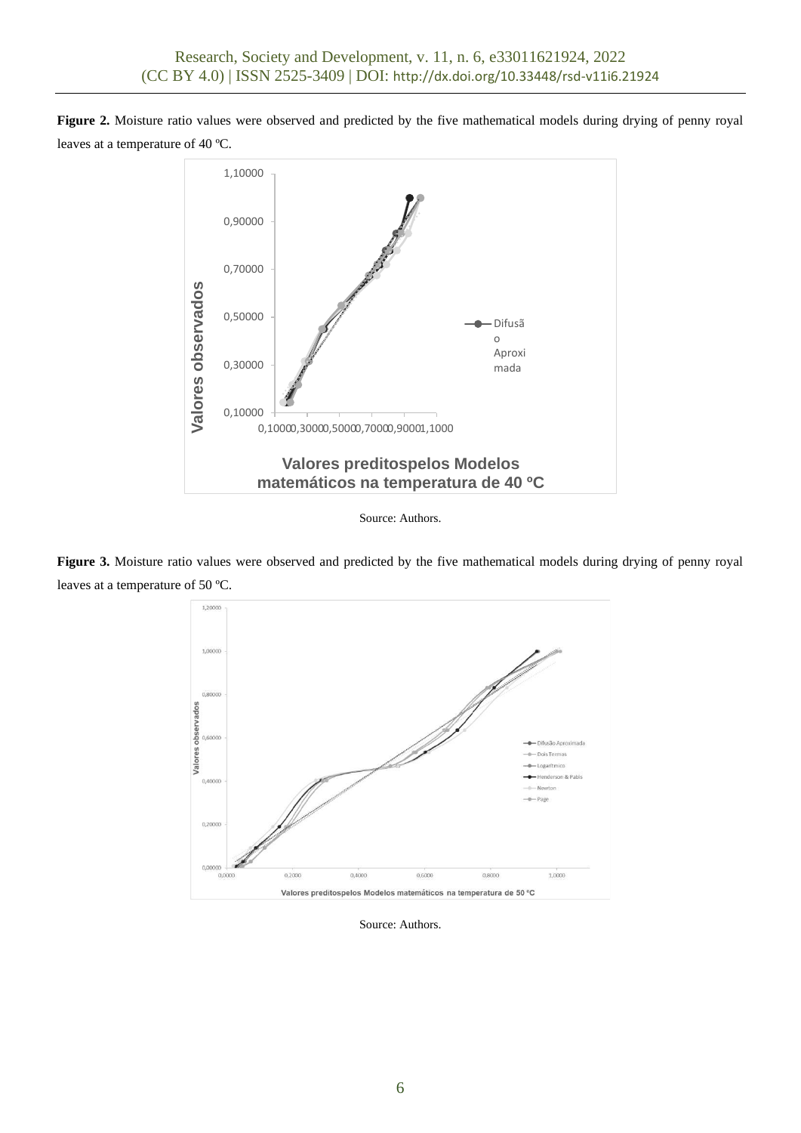**Figure 2.** Moisture ratio values were observed and predicted by the five mathematical models during drying of penny royal leaves at a temperature of 40 ºC.



Source: Authors.

**Figure 3.** Moisture ratio values were observed and predicted by the five mathematical models during drying of penny royal leaves at a temperature of 50 ºC.



Source: Authors.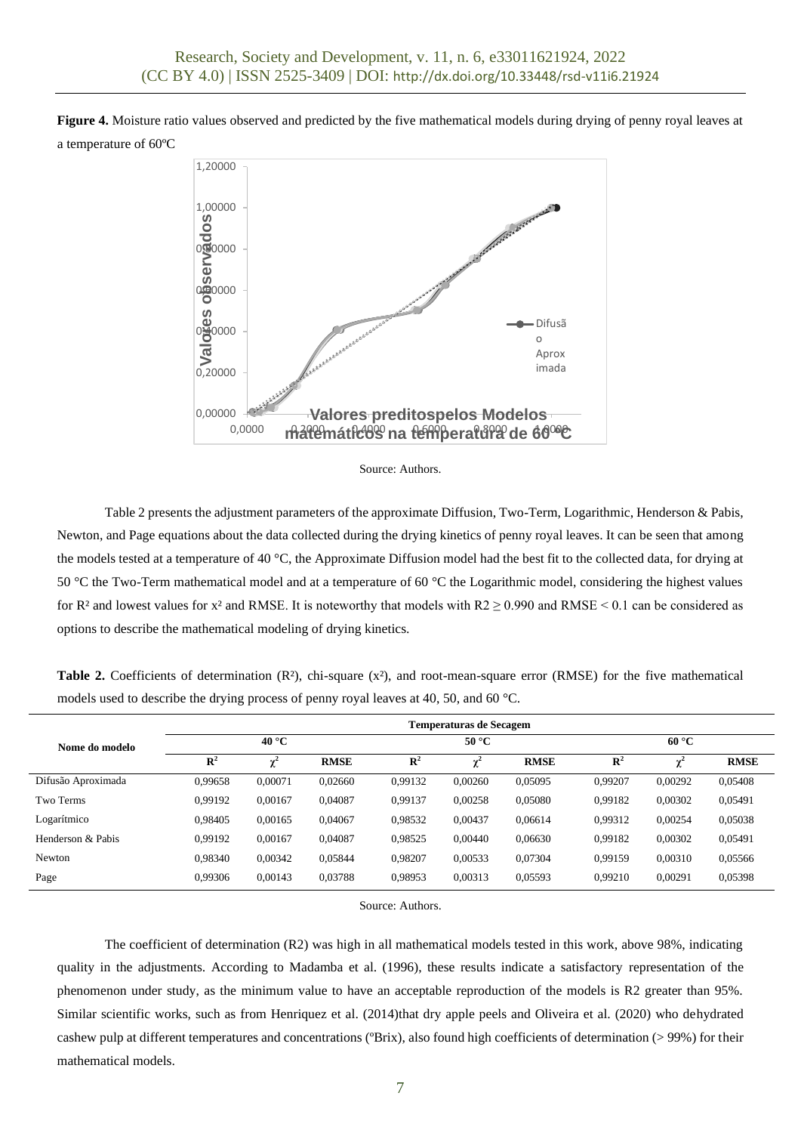**Figure 4.** Moisture ratio values observed and predicted by the five mathematical models during drying of penny royal leaves at a temperature of 60ºC





Table 2 presents the adjustment parameters of the approximate Diffusion, Two-Term, Logarithmic, Henderson & Pabis, Newton, and Page equations about the data collected during the drying kinetics of penny royal leaves. It can be seen that among the models tested at a temperature of 40 °C, the Approximate Diffusion model had the best fit to the collected data, for drying at 50 °C the Two-Term mathematical model and at a temperature of 60 °C the Logarithmic model, considering the highest values for R<sup>2</sup> and lowest values for x<sup>2</sup> and RMSE. It is noteworthy that models with  $R2 \ge 0.990$  and RMSE < 0.1 can be considered as options to describe the mathematical modeling of drying kinetics.

**Table 2.** Coefficients of determination  $(R^2)$ , chi-square  $(x^2)$ , and root-mean-square error  $(RMSE)$  for the five mathematical models used to describe the drying process of penny royal leaves at 40, 50, and 60 °C.

|                    | Temperaturas de Secagem |         |             |                |         |             |                |         |             |
|--------------------|-------------------------|---------|-------------|----------------|---------|-------------|----------------|---------|-------------|
| Nome do modelo     | $40^{\circ}$ C          |         |             | $50^{\circ}$ C |         |             | $60^{\circ}C$  |         |             |
|                    | $\mathbb{R}^2$          |         | <b>RMSE</b> | $\mathbb{R}^2$ |         | <b>RMSE</b> | $\mathbf{R}^2$ |         | <b>RMSE</b> |
| Difusão Aproximada | 0,99658                 | 0,00071 | 0,02660     | 0.99132        | 0.00260 | 0,05095     | 0.99207        | 0.00292 | 0,05408     |
| Two Terms          | 0.99192                 | 0,00167 | 0,04087     | 0,99137        | 0,00258 | 0,05080     | 0,99182        | 0,00302 | 0,05491     |
| Logarítmico        | 0.98405                 | 0,00165 | 0,04067     | 0,98532        | 0,00437 | 0,06614     | 0,99312        | 0,00254 | 0,05038     |
| Henderson & Pabis  | 0.99192                 | 0.00167 | 0.04087     | 0,98525        | 0.00440 | 0.06630     | 0.99182        | 0,00302 | 0,05491     |
| Newton             | 0.98340                 | 0,00342 | 0,05844     | 0,98207        | 0,00533 | 0,07304     | 0.99159        | 0,00310 | 0,05566     |
| Page               | 0,99306                 | 0,00143 | 0,03788     | 0,98953        | 0,00313 | 0,05593     | 0.99210        | 0,00291 | 0,05398     |

Source: Authors.

The coefficient of determination (R2) was high in all mathematical models tested in this work, above 98%, indicating quality in the adjustments. According to Madamba et al. (1996), these results indicate a satisfactory representation of the phenomenon under study, as the minimum value to have an acceptable reproduction of the models is R2 greater than 95%. Similar scientific works, such as from Henriquez et al. (2014)that dry apple peels and Oliveira et al. (2020) who dehydrated cashew pulp at different temperatures and concentrations (ºBrix), also found high coefficients of determination (> 99%) for their mathematical models.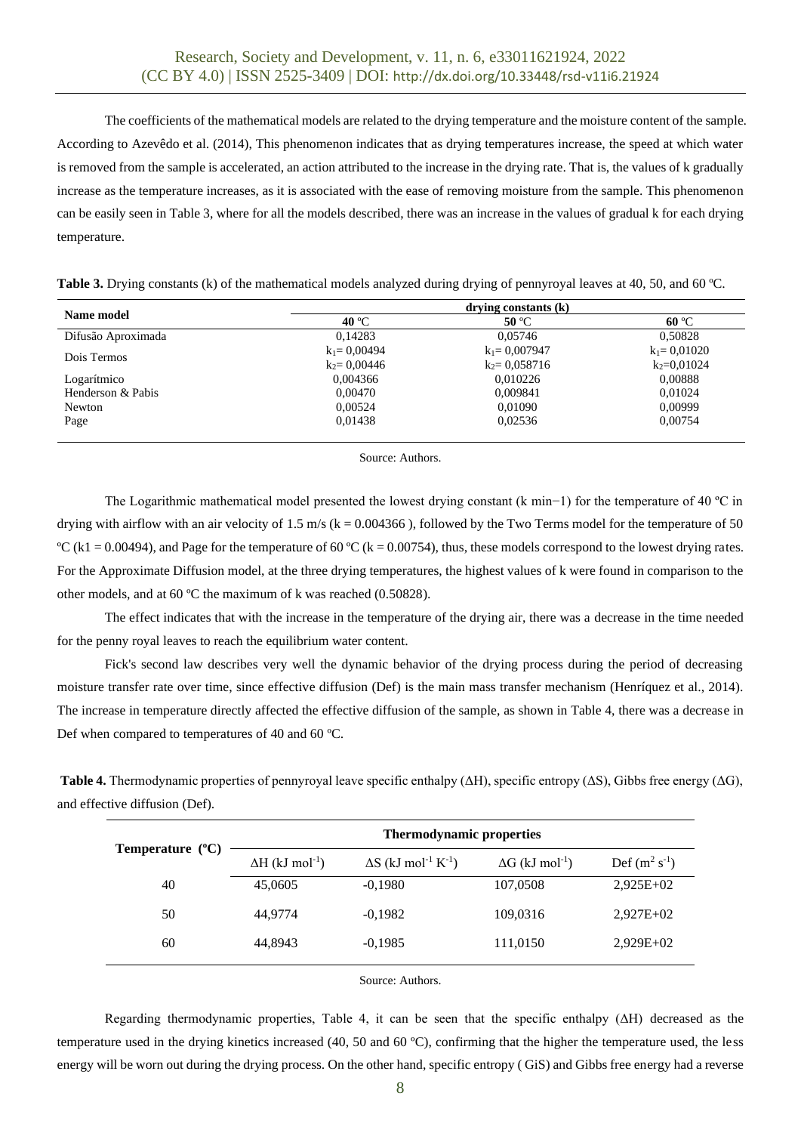The coefficients of the mathematical models are related to the drying temperature and the moisture content of the sample. According to Azevêdo et al. (2014), This phenomenon indicates that as drying temperatures increase, the speed at which water is removed from the sample is accelerated, an action attributed to the increase in the drying rate. That is, the values of k gradually increase as the temperature increases, as it is associated with the ease of removing moisture from the sample. This phenomenon can be easily seen in Table 3, where for all the models described, there was an increase in the values of gradual k for each drying temperature.

| Table 3. Drying constants (k) of the mathematical models analyzed during drying of pennyroyal leaves at 40, 50, and 60 °C. |  |
|----------------------------------------------------------------------------------------------------------------------------|--|
|----------------------------------------------------------------------------------------------------------------------------|--|

| Name model         | drving constants (k) |                  |                 |  |  |
|--------------------|----------------------|------------------|-----------------|--|--|
|                    | 40 °C                | 50 °C            | $60^{\circ}$ C  |  |  |
| Difusão Aproximada | 0.14283              | 0.05746          | 0,50828         |  |  |
| Dois Termos        | $k_1 = 0.00494$      | $k_1 = 0.007947$ | $k_1 = 0.01020$ |  |  |
|                    | $k_2$ = 0.00446      | $k_2$ = 0,058716 | $k_2 = 0.01024$ |  |  |
| Logarítmico        | 0,004366             | 0.010226         | 0,00888         |  |  |
| Henderson & Pabis  | 0.00470              | 0.009841         | 0.01024         |  |  |
| Newton             | 0.00524              | 0,01090          | 0.00999         |  |  |
| Page               | 0.01438              | 0.02536          | 0.00754         |  |  |
|                    |                      |                  |                 |  |  |

Source: Authors.

The Logarithmic mathematical model presented the lowest drying constant (k min−1) for the temperature of 40 ºC in drying with airflow with an air velocity of 1.5 m/s ( $k = 0.004366$ ), followed by the Two Terms model for the temperature of 50 <sup>o</sup>C (k1 = 0.00494), and Page for the temperature of 60 <sup>o</sup>C (k = 0.00754), thus, these models correspond to the lowest drying rates. For the Approximate Diffusion model, at the three drying temperatures, the highest values of k were found in comparison to the other models, and at 60 ºC the maximum of k was reached (0.50828).

The effect indicates that with the increase in the temperature of the drying air, there was a decrease in the time needed for the penny royal leaves to reach the equilibrium water content.

Fick's second law describes very well the dynamic behavior of the drying process during the period of decreasing moisture transfer rate over time, since effective diffusion (Def) is the main mass transfer mechanism (Henríquez et al., 2014). The increase in temperature directly affected the effective diffusion of the sample, as shown in Table 4, there was a decrease in Def when compared to temperatures of 40 and 60 ºC.

**Table 4.** Thermodynamic properties of pennyroyal leave specific enthalpy (ΔH), specific entropy (ΔS), Gibbs free energy (ΔG), and effective diffusion (Def).

| Temperature $(^{\circ}C)$ | <b>Thermodynamic properties</b>    |                                                    |                                    |                    |  |  |  |
|---------------------------|------------------------------------|----------------------------------------------------|------------------------------------|--------------------|--|--|--|
|                           | $\Delta H$ (kJ mol <sup>-1</sup> ) | $\Delta S$ (kJ mol <sup>-1</sup> K <sup>-1</sup> ) | $\Delta G$ (kJ mol <sup>-1</sup> ) | Def $(m^2 s^{-1})$ |  |  |  |
| 40                        | 45,0605                            | $-0,1980$                                          | 107,0508                           | $2,925E+02$        |  |  |  |
| 50                        | 44.9774                            | $-0.1982$                                          | 109,0316                           | $2,927E+02$        |  |  |  |
| 60                        | 44.8943                            | $-0,1985$                                          | 111,0150                           | $2,929E+02$        |  |  |  |

Source: Authors.

Regarding thermodynamic properties, Table 4, it can be seen that the specific enthalpy (ΔH) decreased as the temperature used in the drying kinetics increased (40, 50 and 60 ºC), confirming that the higher the temperature used, the less energy will be worn out during the drying process. On the other hand, specific entropy ( GiS) and Gibbs free energy had a reverse